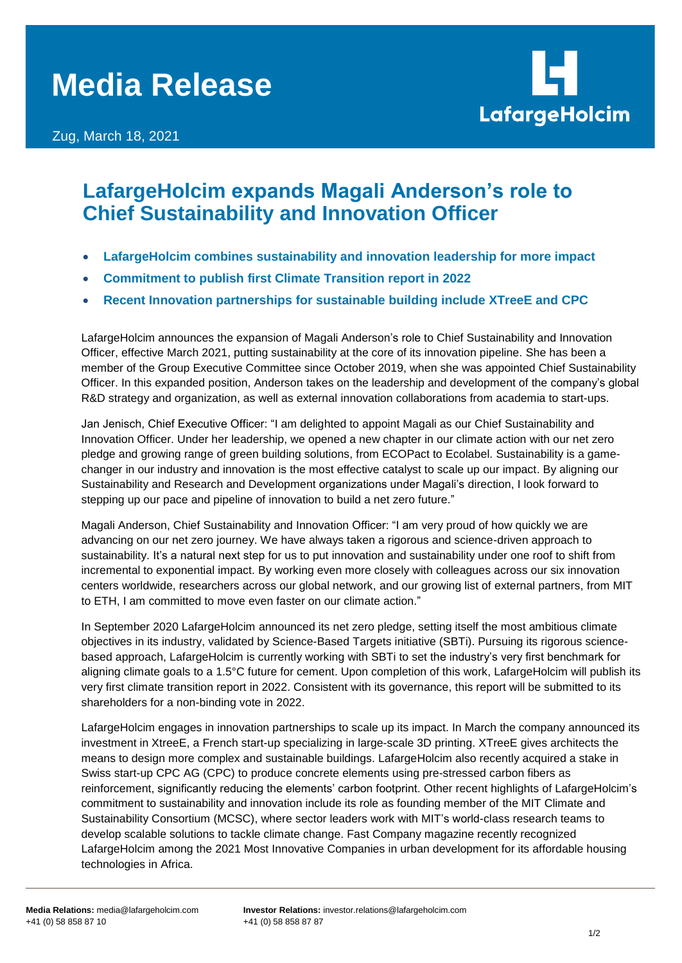## **Media Release**

Zug, March 18, 2021



## **LafargeHolcim expands Magali Anderson's role to Chief Sustainability and Innovation Officer**

- **LafargeHolcim combines sustainability and innovation leadership for more impact**
- **Commitment to publish first Climate Transition report in 2022**
- **Recent Innovation partnerships for sustainable building include XTreeE and CPC**

LafargeHolcim announces the expansion of Magali Anderson's role to Chief Sustainability and Innovation Officer, effective March 2021, putting sustainability at the core of its innovation pipeline. She has been a member of the Group Executive Committee since October 2019, when she was appointed Chief Sustainability Officer. In this expanded position, Anderson takes on the leadership and development of the company's global R&D strategy and organization, as well as external innovation collaborations from academia to start-ups.

Jan Jenisch, Chief Executive Officer: "I am delighted to appoint Magali as our Chief Sustainability and Innovation Officer. Under her leadership, we opened a new chapter in our climate action with our net zero pledge and growing range of green building solutions, from ECOPact to Ecolabel. Sustainability is a gamechanger in our industry and innovation is the most effective catalyst to scale up our impact. By aligning our Sustainability and Research and Development organizations under Magali's direction, I look forward to stepping up our pace and pipeline of innovation to build a net zero future."

Magali Anderson, Chief Sustainability and Innovation Officer: "I am very proud of how quickly we are advancing on our net zero journey. We have always taken a rigorous and science-driven approach to sustainability. It's a natural next step for us to put innovation and sustainability under one roof to shift from incremental to exponential impact. By working even more closely with colleagues across our six innovation centers worldwide, researchers across our global network, and our growing list of external partners, from MIT to ETH, I am committed to move even faster on our climate action."

In September 2020 LafargeHolcim announced its net zero pledge, setting itself the most ambitious climate objectives in its industry, validated by Science-Based Targets initiative (SBTi). Pursuing its rigorous sciencebased approach, LafargeHolcim is currently working with SBTi to set the industry's very first benchmark for aligning climate goals to a 1.5°C future for cement. Upon completion of this work, LafargeHolcim will publish its very first climate transition report in 2022. Consistent with its governance, this report will be submitted to its shareholders for a non-binding vote in 2022.

LafargeHolcim engages in innovation partnerships to scale up its impact. In March the company announced its investment in XtreeE, a French start-up specializing in large-scale 3D printing. XTreeE gives architects the means to design more complex and sustainable buildings. LafargeHolcim also recently acquired a stake in Swiss start-up CPC AG (CPC) to produce concrete elements using pre-stressed carbon fibers as reinforcement, significantly reducing the elements' carbon footprint. Other recent highlights of LafargeHolcim's commitment to sustainability and innovation include its role as founding member of the MIT Climate and Sustainability Consortium (MCSC), where sector leaders work with MIT's world-class research teams to develop scalable solutions to tackle climate change. Fast Company magazine recently recognized LafargeHolcim among the 2021 Most Innovative Companies in urban development for its affordable housing technologies in Africa.